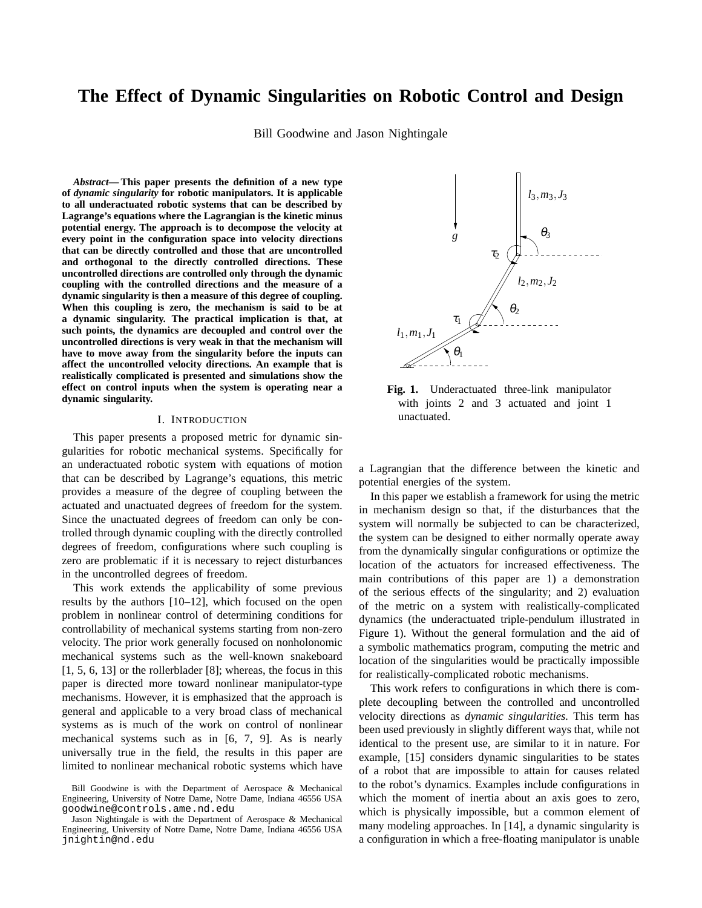# **The Effect of Dynamic Singularities on Robotic Control and Design**

Bill Goodwine and Jason Nightingale

*Abstract***— This paper presents the definition of a new type of** *dynamic singularity* **for robotic manipulators. It is applicable to all underactuated robotic systems that can be described by Lagrange's equations where the Lagrangian is the kinetic minus potential energy. The approach is to decompose the velocity at every point in the configuration space into velocity directions that can be directly controlled and those that are uncontrolled and orthogonal to the directly controlled directions. These uncontrolled directions are controlled only through the dynamic coupling with the controlled directions and the measure of a dynamic singularity is then a measure of this degree of coupling. When this coupling is zero, the mechanism is said to be at a dynamic singularity. The practical implication is that, at such points, the dynamics are decoupled and control over the uncontrolled directions is very weak in that the mechanism will have to move away from the singularity before the inputs can affect the uncontrolled velocity directions. An example that is realistically complicated is presented and simulations show the effect on control inputs when the system is operating near a dynamic singularity.**

#### I. INTRODUCTION

This paper presents a proposed metric for dynamic singularities for robotic mechanical systems. Specifically for an underactuated robotic system with equations of motion that can be described by Lagrange's equations, this metric provides a measure of the degree of coupling between the actuated and unactuated degrees of freedom for the system. Since the unactuated degrees of freedom can only be controlled through dynamic coupling with the directly controlled degrees of freedom, configurations where such coupling is zero are problematic if it is necessary to reject disturbances in the uncontrolled degrees of freedom.

This work extends the applicability of some previous results by the authors [10–12], which focused on the open problem in nonlinear control of determining conditions for controllability of mechanical systems starting from non-zero velocity. The prior work generally focused on nonholonomic mechanical systems such as the well-known snakeboard [1, 5, 6, 13] or the rollerblader [8]; whereas, the focus in this paper is directed more toward nonlinear manipulator-type mechanisms. However, it is emphasized that the approach is general and applicable to a very broad class of mechanical systems as is much of the work on control of nonlinear mechanical systems such as in [6, 7, 9]. As is nearly universally true in the field, the results in this paper are limited to nonlinear mechanical robotic systems which have



**Fig. 1.** Underactuated three-link manipulator with joints 2 and 3 actuated and joint 1 unactuated.

a Lagrangian that the difference between the kinetic and potential energies of the system.

In this paper we establish a framework for using the metric in mechanism design so that, if the disturbances that the system will normally be subjected to can be characterized, the system can be designed to either normally operate away from the dynamically singular configurations or optimize the location of the actuators for increased effectiveness. The main contributions of this paper are 1) a demonstration of the serious effects of the singularity; and 2) evaluation of the metric on a system with realistically-complicated dynamics (the underactuated triple-pendulum illustrated in Figure 1). Without the general formulation and the aid of a symbolic mathematics program, computing the metric and location of the singularities would be practically impossible for realistically-complicated robotic mechanisms.

This work refers to configurations in which there is complete decoupling between the controlled and uncontrolled velocity directions as *dynamic singularities.* This term has been used previously in slightly different ways that, while not identical to the present use, are similar to it in nature. For example, [15] considers dynamic singularities to be states of a robot that are impossible to attain for causes related to the robot's dynamics. Examples include configurations in which the moment of inertia about an axis goes to zero, which is physically impossible, but a common element of many modeling approaches. In [14], a dynamic singularity is a configuration in which a free-floating manipulator is unable

Bill Goodwine is with the Department of Aerospace & Mechanical Engineering, University of Notre Dame, Notre Dame, Indiana 46556 USA goodwine@controls.ame.nd.edu

Jason Nightingale is with the Department of Aerospace & Mechanical Engineering, University of Notre Dame, Notre Dame, Indiana 46556 USA jnightin@nd.edu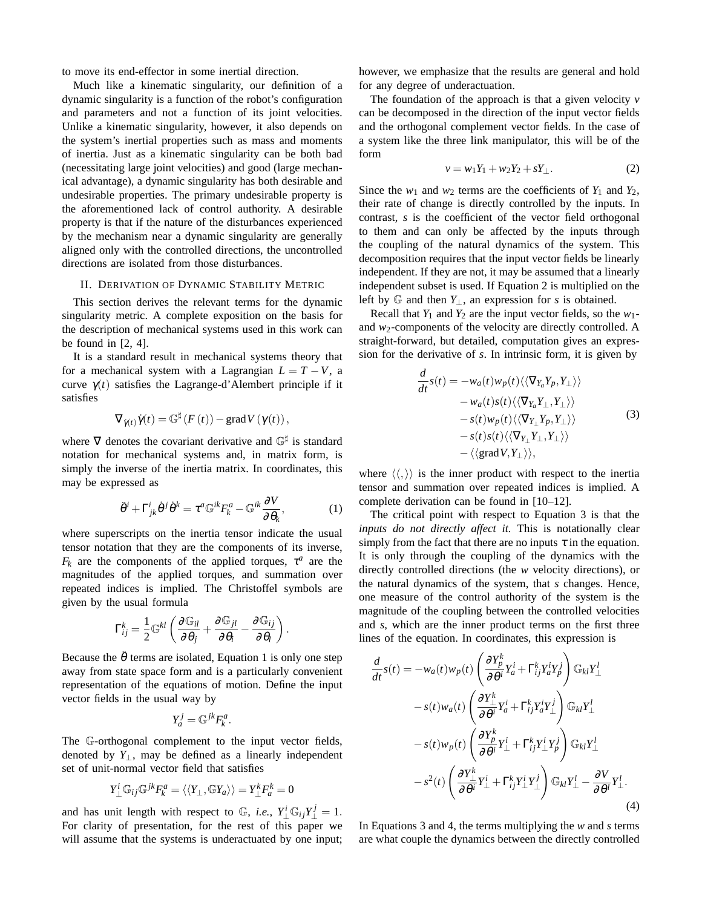to move its end-effector in some inertial direction.

Much like a kinematic singularity, our definition of a dynamic singularity is a function of the robot's configuration and parameters and not a function of its joint velocities. Unlike a kinematic singularity, however, it also depends on the system's inertial properties such as mass and moments of inertia. Just as a kinematic singularity can be both bad (necessitating large joint velocities) and good (large mechanical advantage), a dynamic singularity has both desirable and undesirable properties. The primary undesirable property is the aforementioned lack of control authority. A desirable property is that if the nature of the disturbances experienced by the mechanism near a dynamic singularity are generally aligned only with the controlled directions, the uncontrolled directions are isolated from those disturbances.

### II. DERIVATION OF DYNAMIC STABILITY METRIC

This section derives the relevant terms for the dynamic singularity metric. A complete exposition on the basis for the description of mechanical systems used in this work can be found in  $[2, 4]$ .

It is a standard result in mechanical systems theory that for a mechanical system with a Lagrangian  $L = T - V$ , a curve  $\gamma(t)$  satisfies the Lagrange-d'Alembert principle if it satisfies

$$
\nabla_{\dot{\gamma}(t)}\dot{\gamma}(t) = \mathbb{G}^{\sharp}\left(F\left(t\right)\right) - \mathrm{grad}V\left(\gamma(t)\right),
$$

where  $\nabla$  denotes the covariant derivative and  $\mathbb{G}^{\sharp}$  is standard notation for mechanical systems and, in matrix form, is simply the inverse of the inertia matrix. In coordinates, this may be expressed as

$$
\ddot{\theta}^i + \Gamma^i_{jk} \dot{\theta}^j \dot{\theta}^k = \tau^a \mathbb{G}^{ik} F^a_k - \mathbb{G}^{ik} \frac{\partial V}{\partial \theta_k},\tag{1}
$$

where superscripts on the inertia tensor indicate the usual tensor notation that they are the components of its inverse,  $F_k$  are the components of the applied torques,  $\tau^a$  are the magnitudes of the applied torques, and summation over repeated indices is implied. The Christoffel symbols are given by the usual formula

$$
\Gamma_{ij}^k = \frac{1}{2} \mathbb{G}^{kl} \left( \frac{\partial \mathbb{G}_{il}}{\partial \theta_j} + \frac{\partial \mathbb{G}_{jl}}{\partial \theta_i} - \frac{\partial \mathbb{G}_{ij}}{\partial \theta_l} \right).
$$

Because the  $\ddot{\theta}$  terms are isolated, Equation 1 is only one step away from state space form and is a particularly convenient representation of the equations of motion. Define the input vector fields in the usual way by

$$
Y_a^j = \mathbb{G}^{jk} F_k^a.
$$

The G-orthogonal complement to the input vector fields, denoted by  $Y_{\perp}$ , may be defined as a linearly independent set of unit-normal vector field that satisfies

$$
Y_{\perp}^{i} \mathbb{G}_{ij} \mathbb{G}^{jk} F_{k}^{a} = \langle \langle Y_{\perp}, \mathbb{G} Y_{a} \rangle \rangle = Y_{\perp}^{k} F_{a}^{k} = 0
$$

and has unit length with respect to  $\mathbb{G}$ , *i.e.*,  $Y_{\perp}^i \mathbb{G}_{ij} Y_{\perp}^j = 1$ . For clarity of presentation, for the rest of this paper we will assume that the systems is underactuated by one input; however, we emphasize that the results are general and hold for any degree of underactuation.

The foundation of the approach is that a given velocity *v* can be decomposed in the direction of the input vector fields and the orthogonal complement vector fields. In the case of a system like the three link manipulator, this will be of the form

$$
v = w_1 Y_1 + w_2 Y_2 + s Y_\perp. \tag{2}
$$

Since the  $w_1$  and  $w_2$  terms are the coefficients of  $Y_1$  and  $Y_2$ , their rate of change is directly controlled by the inputs. In contrast, *s* is the coefficient of the vector field orthogonal to them and can only be affected by the inputs through the coupling of the natural dynamics of the system. This decomposition requires that the input vector fields be linearly independent. If they are not, it may be assumed that a linearly independent subset is used. If Equation 2 is multiplied on the left by <sup>G</sup> and then *<sup>Y</sup>*⊥, an expression for *<sup>s</sup>* is obtained.

Recall that  $Y_1$  and  $Y_2$  are the input vector fields, so the  $w_1$ and *w*2-components of the velocity are directly controlled. A straight-forward, but detailed, computation gives an expression for the derivative of *s*. In intrinsic form, it is given by

$$
\frac{d}{dt}s(t) = -w_a(t)w_p(t)\langle\langle \nabla_{Y_a} Y_p, Y_\perp \rangle\rangle \n-w_a(t)s(t)\langle\langle \nabla_{Y_a} Y_\perp, Y_\perp \rangle\rangle \n-s(t)w_p(t)\langle\langle \nabla_{Y_\perp} Y_p, Y_\perp \rangle\rangle \n-s(t)s(t)\langle\langle \nabla_{Y_\perp} Y_\perp, Y_\perp \rangle\rangle \n-\langle\langle \text{grad } V, Y_\perp \rangle\rangle,
$$
\n(3)

where  $\langle \langle , \rangle \rangle$  is the inner product with respect to the inertia tensor and summation over repeated indices is implied. A complete derivation can be found in [10–12].

The critical point with respect to Equation 3 is that the *inputs do not directly affect it.* This is notationally clear simply from the fact that there are no inputs  $\tau$  in the equation. It is only through the coupling of the dynamics with the directly controlled directions (the *w* velocity directions), or the natural dynamics of the system, that *s* changes. Hence, one measure of the control authority of the system is the magnitude of the coupling between the controlled velocities and *s*, which are the inner product terms on the first three lines of the equation. In coordinates, this expression is

$$
\frac{d}{dt}s(t) = -w_a(t)w_p(t)\left(\frac{\partial Y_p^k}{\partial \theta^i}Y_a^i + \Gamma_{ij}^k Y_a^i Y_p^j\right) \mathbb{G}_{kl}Y_{\perp}^l
$$

$$
-s(t)w_a(t)\left(\frac{\partial Y_{\perp}^k}{\partial \theta^i}Y_a^i + \Gamma_{ij}^k Y_a^i Y_{\perp}^j\right) \mathbb{G}_{kl}Y_{\perp}^l
$$

$$
-s(t)w_p(t)\left(\frac{\partial Y_p^k}{\partial \theta^i}Y_{\perp}^i + \Gamma_{ij}^k Y_{\perp}^i Y_p^j\right) \mathbb{G}_{kl}Y_{\perp}^l
$$

$$
-s^2(t)\left(\frac{\partial Y_{\perp}^k}{\partial \theta^i}Y_{\perp}^i + \Gamma_{ij}^k Y_{\perp}^i Y_{\perp}^j\right) \mathbb{G}_{kl}Y_{\perp}^l - \frac{\partial V}{\partial \theta^l}Y_{\perp}^l.
$$
(4)

In Equations 3 and 4, the terms multiplying the *w* and *s* terms are what couple the dynamics between the directly controlled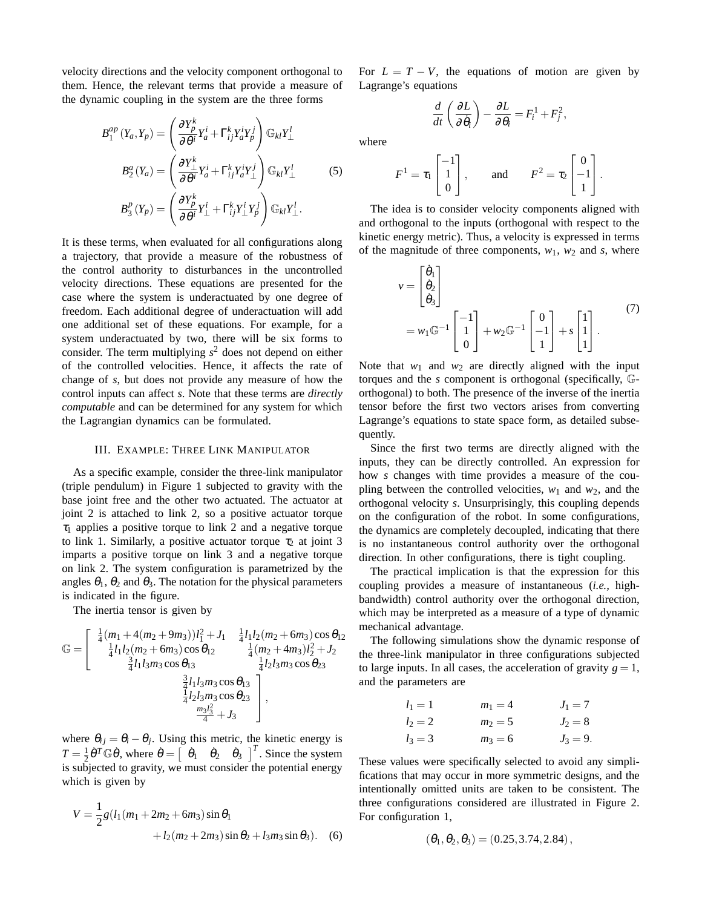velocity directions and the velocity component orthogonal to them. Hence, the relevant terms that provide a measure of the dynamic coupling in the system are the three forms

$$
B_1^{ap}(Y_a, Y_p) = \left(\frac{\partial Y_p^k}{\partial \theta^i} Y_a^i + \Gamma_{ij}^k Y_a^i Y_p^j\right) \mathbb{G}_{kl} Y_\perp^l
$$
  

$$
B_2^a(Y_a) = \left(\frac{\partial Y_\perp^k}{\partial \theta^i} Y_a^i + \Gamma_{ij}^k Y_a^i Y_\perp^j\right) \mathbb{G}_{kl} Y_\perp^l
$$
  

$$
B_3^p(Y_p) = \left(\frac{\partial Y_p^k}{\partial \theta^i} Y_\perp^i + \Gamma_{ij}^k Y_\perp^i Y_p^j\right) \mathbb{G}_{kl} Y_\perp^l.
$$
 (5)

It is these terms, when evaluated for all configurations along a trajectory, that provide a measure of the robustness of the control authority to disturbances in the uncontrolled velocity directions. These equations are presented for the case where the system is underactuated by one degree of freedom. Each additional degree of underactuation will add one additional set of these equations. For example, for a system underactuated by two, there will be six forms to consider. The term multiplying  $s^2$  does not depend on either of the controlled velocities. Hence, it affects the rate of change of *s*, but does not provide any measure of how the control inputs can affect *s*. Note that these terms are *directly computable* and can be determined for any system for which the Lagrangian dynamics can be formulated.

#### III. EXAMPLE: THREE LINK MANIPULATOR

As a specific example, consider the three-link manipulator (triple pendulum) in Figure 1 subjected to gravity with the base joint free and the other two actuated. The actuator at joint 2 is attached to link 2, so a positive actuator torque  $\tau_1$  applies a positive torque to link 2 and a negative torque to link 1. Similarly, a positive actuator torque  $\tau_2$  at joint 3 imparts a positive torque on link 3 and a negative torque on link 2. The system configuration is parametrized by the angles  $\theta_1$ ,  $\theta_2$  and  $\theta_3$ . The notation for the physical parameters is indicated in the figure.

The inertia tensor is given by

$$
\mathbb{G} = \begin{bmatrix} \frac{1}{4}(m_1 + 4(m_2 + 9m_3))l_1^2 + J_1 & \frac{1}{4}l_1l_2(m_2 + 6m_3)\cos\theta_{12} \\ \frac{1}{4}l_1l_2(m_2 + 6m_3)\cos\theta_{12} & \frac{1}{4}(m_2 + 4m_3)l_2^2 + J_2 \\ \frac{3}{4}l_1l_3m_3\cos\theta_{13} & \frac{1}{4}l_2l_3m_3\cos\theta_{23} \\ \frac{3}{4}l_1l_3m_3\cos\theta_{13} & \frac{3}{4}l_2l_3m_3\cos\theta_{23} \\ \frac{1}{4}l_2l_3m_3\cos\theta_{23} & \frac{m_3l_3^2}{4} + J_3 \end{bmatrix},
$$

where  $\theta_{ij} = \theta_i - \theta_j$ . Using this metric, the kinetic energy is  $T = \frac{1}{2} \dot{\theta}^T \mathbb{G} \dot{\theta}$ , where  $\dot{\theta} = \begin{bmatrix} \dot{\theta}_1 & \dot{\theta}_2 & \dot{\theta}_3 \end{bmatrix}^T$ . Since the system is subjected to gravity, we must consider the potential energy which is given by

$$
V = \frac{1}{2}g(l_1(m_1 + 2m_2 + 6m_3)\sin\theta_1 + l_2(m_2 + 2m_3)\sin\theta_2 + l_3m_3\sin\theta_3).
$$
 (6)

For  $L = T - V$ , the equations of motion are given by Lagrange's equations

 $\frac{\partial L}{\partial \theta_i} = F_i^1 + F_j^2,$ 

 $\frac{d}{dt}$   $\left(\frac{\partial L}{\partial \dot{\theta}_i}\right)$  $\overline{\partial\dot{\theta}_i}$  $\setminus$ − ∂*L*

where

$$
F^{1} = \tau_{1} \begin{bmatrix} -1 \\ 1 \\ 0 \end{bmatrix}, \quad \text{and} \quad F^{2} = \tau_{2} \begin{bmatrix} 0 \\ -1 \\ 1 \end{bmatrix}.
$$

The idea is to consider velocity components aligned with and orthogonal to the inputs (orthogonal with respect to the kinetic energy metric). Thus, a velocity is expressed in terms of the magnitude of three components,  $w_1$ ,  $w_2$  and *s*, where

$$
v = \begin{bmatrix} \dot{\theta}_1 \\ \dot{\theta}_2 \\ \dot{\theta}_3 \end{bmatrix}
$$
  
=  $w_1 \mathbb{G}^{-1} \begin{bmatrix} -1 \\ 1 \\ 0 \end{bmatrix} + w_2 \mathbb{G}^{-1} \begin{bmatrix} 0 \\ -1 \\ 1 \end{bmatrix} + s \begin{bmatrix} 1 \\ 1 \\ 1 \end{bmatrix}.$  (7)

Note that  $w_1$  and  $w_2$  are directly aligned with the input torques and the *s* component is orthogonal (specifically, Gorthogonal) to both. The presence of the inverse of the inertia tensor before the first two vectors arises from converting Lagrange's equations to state space form, as detailed subsequently.

Since the first two terms are directly aligned with the inputs, they can be directly controlled. An expression for how *s* changes with time provides a measure of the coupling between the controlled velocities,  $w_1$  and  $w_2$ , and the orthogonal velocity *s*. Unsurprisingly, this coupling depends on the configuration of the robot. In some configurations, the dynamics are completely decoupled, indicating that there is no instantaneous control authority over the orthogonal direction. In other configurations, there is tight coupling.

The practical implication is that the expression for this coupling provides a measure of instantaneous (*i.e.,* highbandwidth) control authority over the orthogonal direction, which may be interpreted as a measure of a type of dynamic mechanical advantage.

The following simulations show the dynamic response of the three-link manipulator in three configurations subjected to large inputs. In all cases, the acceleration of gravity  $g = 1$ , and the parameters are

| $l_1 = 1$ | $m_1 = 4$ | $J_1 = 7$ |
|-----------|-----------|-----------|
| $l_2 = 2$ | $m_2 = 5$ | $J_2 = 8$ |
| $l_3 = 3$ | $m_3 = 6$ | $J_3 = 9$ |

These values were specifically selected to avoid any simplifications that may occur in more symmetric designs, and the intentionally omitted units are taken to be consistent. The three configurations considered are illustrated in Figure 2. For configuration 1,

$$
(\theta_1, \theta_2, \theta_3) = (0.25, 3.74, 2.84),
$$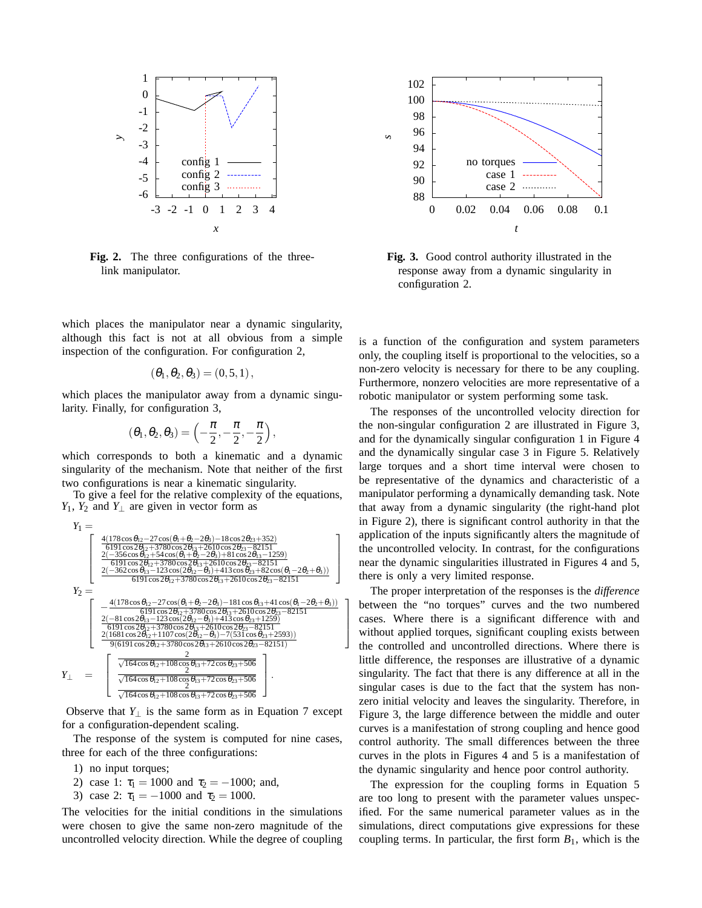

**Fig. 2.** The three configurations of the threelink manipulator.

which places the manipulator near a dynamic singularity, although this fact is not at all obvious from a simple inspection of the configuration. For configuration 2,

$$
\left(\theta_1,\theta_2,\theta_3\right)=\left(0,5,1\right),
$$

which places the manipulator away from a dynamic singularity. Finally, for configuration 3,

$$
(\theta_1,\theta_2,\theta_3)=\left(-\frac{\pi}{2},-\frac{\pi}{2},-\frac{\pi}{2}\right),
$$

which corresponds to both a kinematic and a dynamic singularity of the mechanism. Note that neither of the first two configurations is near a kinematic singularity.

To give a feel for the relative complexity of the equations, *Y*<sub>1</sub>, *Y*<sub>2</sub> and *Y*<sub>⊥</sub> are given in vector form as

$$
\begin{array}{c} Y_1=\left[\begin{array}{c} \frac{4(178\cos\theta_{12}-27\cos(\theta_1+\theta_2-2\theta_3)-18\cos2\theta_{23}+352)}{6191\cos2\theta_{12}+3780\cos2\theta_{13}+2610\cos2\theta_{23}-82151} \\ \frac{2(-356\cos\theta_{12}+54\cos(\theta_1+\theta_2-2\theta_3)+81\cos2\theta_{13}-1259)}{6191\cos2\theta_{12}+3780\cos2\theta_{13}+2610\cos2\theta_{23}-82151} \\ \frac{2(-362\cos\theta_{13}-123\cos(2\theta_{12}-\theta_3)+413\cos\theta_{23}+82\cos(\theta_1-2\theta_2+\theta_3))}{6191\cos2\theta_{12}+3780\cos2\theta_{13}+2610\cos2\theta_{23}-82151} \end{array}\right]\\ Y_2=\left[\begin{array}{c} -\frac{4(178\cos\theta_{12}-27\cos(\theta_1+\theta_2-2\theta_3)-181\cos\theta_{13}+41\cos(\theta_1-2\theta_2+\theta_3))}{6191\cos2\theta_{12}+3780\cos2\theta_{13}+2610\cos2\theta_{23}-82151} \\ \frac{2(-81\cos2\theta_{13}-123\cos(2\theta_{12}-\theta_3)+413\cos\theta_{23}+1259)}{6191\cos2\theta_{12}+3780\cos2\theta_{13}+2610\cos2\theta_{23}-82151} \\ \frac{2(1681\cos2\theta_{12}+1107\cos(2\theta_{12}-\theta_3)-7(531\cos\theta_{23}+2593))}{9(6191\cos2\theta_{12}+3780\cos2\theta_{13}+2610\cos2\theta_{23}-82151)} \\ \frac{2(1681\cos\theta_{12}+1107\cos(2\theta_{12}-\theta_3)-7(531\cos\theta_{23}+2593))}{\sqrt{164\cos\theta_{12}+108\cos\theta_{13}+
$$

1  $\overline{1}$  $\overline{ }$  $\mathbf{I}$ 

Observe that  $Y_{\perp}$  is the same form as in Equation 7 except for a configuration-dependent scaling.

The response of the system is computed for nine cases, three for each of the three configurations:

- 1) no input torques;
- 2) case 1:  $\tau_1 = 1000$  and  $\tau_2 = -1000$ ; and,
- 3) case 2:  $\tau_1 = -1000$  and  $\tau_2 = 1000$ .

The velocities for the initial conditions in the simulations were chosen to give the same non-zero magnitude of the uncontrolled velocity direction. While the degree of coupling



**Fig. 3.** Good control authority illustrated in the response away from a dynamic singularity in configuration 2.

is a function of the configuration and system parameters only, the coupling itself is proportional to the velocities, so a non-zero velocity is necessary for there to be any coupling. Furthermore, nonzero velocities are more representative of a robotic manipulator or system performing some task.

The responses of the uncontrolled velocity direction for the non-singular configuration 2 are illustrated in Figure 3, and for the dynamically singular configuration 1 in Figure 4 and the dynamically singular case 3 in Figure 5. Relatively large torques and a short time interval were chosen to be representative of the dynamics and characteristic of a manipulator performing a dynamically demanding task. Note that away from a dynamic singularity (the right-hand plot in Figure 2), there is significant control authority in that the application of the inputs significantly alters the magnitude of the uncontrolled velocity. In contrast, for the configurations near the dynamic singularities illustrated in Figures 4 and 5, there is only a very limited response.

The proper interpretation of the responses is the *difference* between the "no torques" curves and the two numbered cases. Where there is a significant difference with and without applied torques, significant coupling exists between the controlled and uncontrolled directions. Where there is little difference, the responses are illustrative of a dynamic singularity. The fact that there is any difference at all in the singular cases is due to the fact that the system has nonzero initial velocity and leaves the singularity. Therefore, in Figure 3, the large difference between the middle and outer curves is a manifestation of strong coupling and hence good control authority. The small differences between the three curves in the plots in Figures 4 and 5 is a manifestation of the dynamic singularity and hence poor control authority.

The expression for the coupling forms in Equation 5 are too long to present with the parameter values unspecified. For the same numerical parameter values as in the simulations, direct computations give expressions for these coupling terms. In particular, the first form  $B_1$ , which is the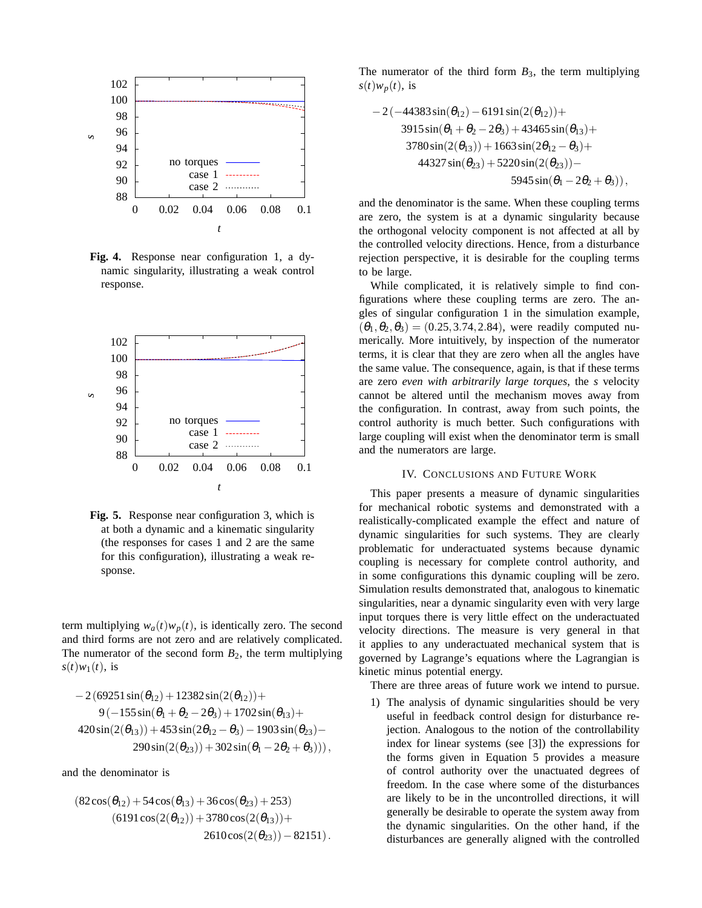

**Fig. 4.** Response near configuration 1, a dynamic singularity, illustrating a weak control response.



**Fig. 5.** Response near configuration 3, which is at both a dynamic and a kinematic singularity (the responses for cases 1 and 2 are the same for this configuration), illustrating a weak response.

term multiplying  $w_a(t)w_p(t)$ , is identically zero. The second and third forms are not zero and are relatively complicated. The numerator of the second form  $B_2$ , the term multiplying  $s(t)w_1(t)$ , is

$$
-2(69251\sin(\theta_{12})+12382\sin(2(\theta_{12}))+9(-155\sin(\theta_1+\theta_2-2\theta_3)+1702\sin(\theta_{13})+420\sin(2(\theta_{13}))+453\sin(2\theta_{12}-\theta_3)-1903\sin(\theta_{23})-290\sin(2(\theta_{23}))+302\sin(\theta_1-2\theta_2+\theta_3))),
$$

and the denominator is

$$
(82\cos(\theta_{12}) + 54\cos(\theta_{13}) + 36\cos(\theta_{23}) + 253)
$$
  
\n
$$
(6191\cos(2(\theta_{12})) + 3780\cos(2(\theta_{13})) + 2610\cos(2(\theta_{23})) - 82151).
$$

The numerator of the third form  $B_3$ , the term multiplying  $s(t)w_p(t)$ , is

$$
-2(-44383\sin(\theta_{12}) - 6191\sin(2(\theta_{12})) +\n3915\sin(\theta_1 + \theta_2 - 2\theta_3) + 43465\sin(\theta_{13}) +\n3780\sin(2(\theta_{13})) + 1663\sin(2\theta_{12} - \theta_3) +\n44327\sin(\theta_{23}) + 5220\sin(2(\theta_{23})) -\n5945\sin(\theta_1 - 2\theta_2 + \theta_3)),
$$

and the denominator is the same. When these coupling terms are zero, the system is at a dynamic singularity because the orthogonal velocity component is not affected at all by the controlled velocity directions. Hence, from a disturbance rejection perspective, it is desirable for the coupling terms to be large.

While complicated, it is relatively simple to find configurations where these coupling terms are zero. The angles of singular configuration 1 in the simulation example,  $(\theta_1, \theta_2, \theta_3) = (0.25, 3.74, 2.84)$ , were readily computed numerically. More intuitively, by inspection of the numerator terms, it is clear that they are zero when all the angles have the same value. The consequence, again, is that if these terms are zero *even with arbitrarily large torques*, the *s* velocity cannot be altered until the mechanism moves away from the configuration. In contrast, away from such points, the control authority is much better. Such configurations with large coupling will exist when the denominator term is small and the numerators are large.

# IV. CONCLUSIONS AND FUTURE WORK

This paper presents a measure of dynamic singularities for mechanical robotic systems and demonstrated with a realistically-complicated example the effect and nature of dynamic singularities for such systems. They are clearly problematic for underactuated systems because dynamic coupling is necessary for complete control authority, and in some configurations this dynamic coupling will be zero. Simulation results demonstrated that, analogous to kinematic singularities, near a dynamic singularity even with very large input torques there is very little effect on the underactuated velocity directions. The measure is very general in that it applies to any underactuated mechanical system that is governed by Lagrange's equations where the Lagrangian is kinetic minus potential energy.

There are three areas of future work we intend to pursue.

1) The analysis of dynamic singularities should be very useful in feedback control design for disturbance rejection. Analogous to the notion of the controllability index for linear systems (see [3]) the expressions for the forms given in Equation 5 provides a measure of control authority over the unactuated degrees of freedom. In the case where some of the disturbances are likely to be in the uncontrolled directions, it will generally be desirable to operate the system away from the dynamic singularities. On the other hand, if the disturbances are generally aligned with the controlled